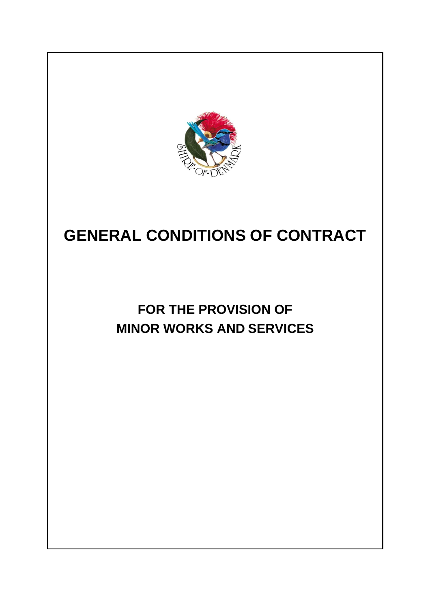

# **GENERAL CONDITIONS OF CONTRACT**

# **FOR THE PROVISION OF MINOR WORKS AND SERVICES**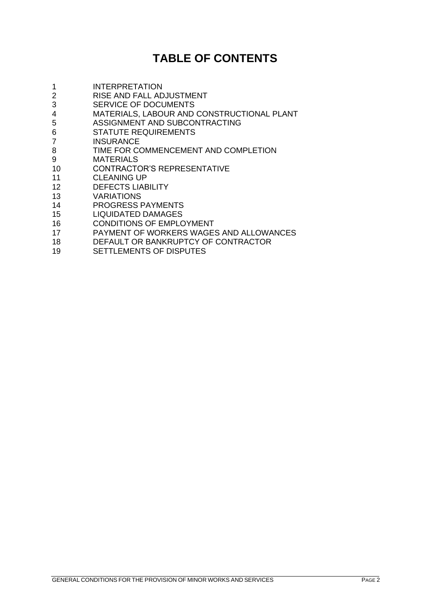# **TABLE OF CONTENTS**

| 1              | <b>INTERPRETATION</b>                      |
|----------------|--------------------------------------------|
| $\overline{2}$ | RISE AND FALL ADJUSTMENT                   |
| 3              | <b>SERVICE OF DOCUMENTS</b>                |
| 4              | MATERIALS, LABOUR AND CONSTRUCTIONAL PLANT |
| 5              | ASSIGNMENT AND SUBCONTRACTING              |
| 6              | <b>STATUTE REQUIREMENTS</b>                |
| $\overline{7}$ | <b>INSURANCE</b>                           |
| 8              | TIME FOR COMMENCEMENT AND COMPLETION       |
| 9              | <b>MATERIALS</b>                           |
| 10             | <b>CONTRACTOR'S REPRESENTATIVE</b>         |
| 11             | <b>CLEANING UP</b>                         |
| 12             | <b>DEFECTS LIABILITY</b>                   |
| 13             | <b>VARIATIONS</b>                          |
| 14             | <b>PROGRESS PAYMENTS</b>                   |
| 15             | <b>LIQUIDATED DAMAGES</b>                  |
| 16             | <b>CONDITIONS OF EMPLOYMENT</b>            |
| 17             | PAYMENT OF WORKERS WAGES AND ALLOWANCES    |
| 18             | DEFAULT OR BANKRUPTCY OF CONTRACTOR        |

SETTLEMENTS OF DISPUTES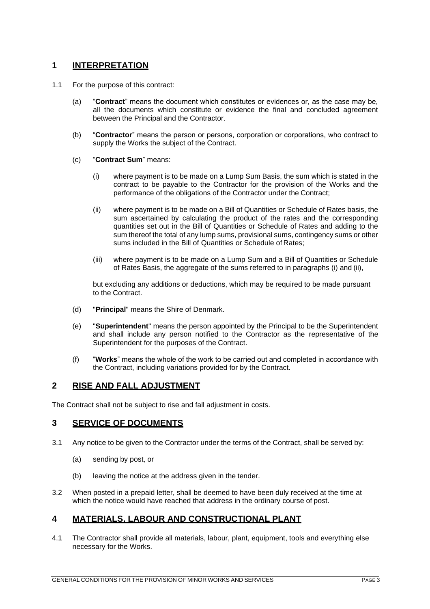#### **1 INTERPRETATION**

- 1.1 For the purpose of this contract:
	- (a) "**Contract**" means the document which constitutes or evidences or, as the case may be, all the documents which constitute or evidence the final and concluded agreement between the Principal and the Contractor.
	- (b) "**Contractor**" means the person or persons, corporation or corporations, who contract to supply the Works the subject of the Contract.
	- (c) "**Contract Sum**" means:
		- (i) where payment is to be made on a Lump Sum Basis, the sum which is stated in the contract to be payable to the Contractor for the provision of the Works and the performance of the obligations of the Contractor under the Contract;
		- (ii) where payment is to be made on a Bill of Quantities or Schedule of Rates basis, the sum ascertained by calculating the product of the rates and the corresponding quantities set out in the Bill of Quantities or Schedule of Rates and adding to the sum thereof the total of any lump sums, provisional sums, contingency sums or other sums included in the Bill of Quantities or Schedule of Rates;
		- (iii) where payment is to be made on a Lump Sum and a Bill of Quantities or Schedule of Rates Basis, the aggregate of the sums referred to in paragraphs (i) and (ii),

but excluding any additions or deductions, which may be required to be made pursuant to the Contract.

- (d) "**Principal**" means the Shire of Denmark.
- (e) "**Superintendent**" means the person appointed by the Principal to be the Superintendent and shall include any person notified to the Contractor as the representative of the Superintendent for the purposes of the Contract.
- (f) "**Works**" means the whole of the work to be carried out and completed in accordance with the Contract, including variations provided for by the Contract.

#### **2 RISE AND FALL ADJUSTMENT**

The Contract shall not be subject to rise and fall adjustment in costs.

#### **3 SERVICE OF DOCUMENTS**

- 3.1 Any notice to be given to the Contractor under the terms of the Contract, shall be served by:
	- (a) sending by post, or
	- (b) leaving the notice at the address given in the tender.
- 3.2 When posted in a prepaid letter, shall be deemed to have been duly received at the time at which the notice would have reached that address in the ordinary course of post.

#### **4 MATERIALS, LABOUR AND CONSTRUCTIONAL PLANT**

4.1 The Contractor shall provide all materials, labour, plant, equipment, tools and everything else necessary for the Works.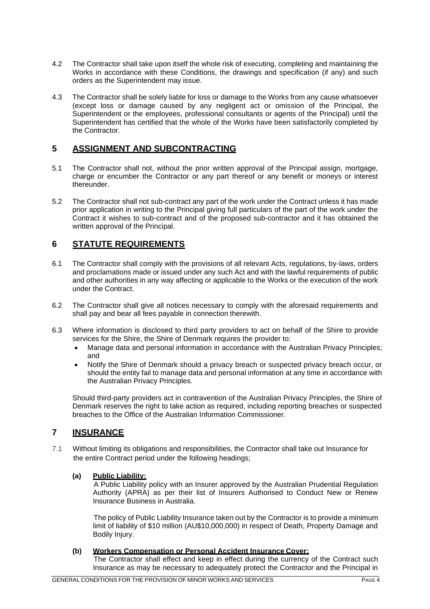- 4.2 The Contractor shall take upon itself the whole risk of executing, completing and maintaining the Works in accordance with these Conditions, the drawings and specification (if any) and such orders as the Superintendent may issue.
- 4.3 The Contractor shall be solely liable for loss or damage to the Works from any cause whatsoever (except loss or damage caused by any negligent act or omission of the Principal, the Superintendent or the employees, professional consultants or agents of the Principal) until the Superintendent has certified that the whole of the Works have been satisfactorily completed by the Contractor.

## **5 ASSIGNMENT AND SUBCONTRACTING**

- 5.1 The Contractor shall not, without the prior written approval of the Principal assign, mortgage, charge or encumber the Contractor or any part thereof or any benefit or moneys or interest thereunder.
- 5.2 The Contractor shall not sub-contract any part of the work under the Contract unless it has made prior application in writing to the Principal giving full particulars of the part of the work under the Contract it wishes to sub-contract and of the proposed sub-contractor and it has obtained the written approval of the Principal.

### **6 STATUTE REQUIREMENTS**

- 6.1 The Contractor shall comply with the provisions of all relevant Acts, regulations, by-laws, orders and proclamations made or issued under any such Act and with the lawful requirements of public and other authorities in any way affecting or applicable to the Works or the execution of the work under the Contract.
- 6.2 The Contractor shall give all notices necessary to comply with the aforesaid requirements and shall pay and bear all fees payable in connection therewith.
- 6.3 Where information is disclosed to third party providers to act on behalf of the Shire to provide services for the Shire, the Shire of Denmark requires the provider to:
	- Manage data and personal information in accordance with the Australian Privacy Principles; and
	- Notify the Shire of Denmark should a privacy breach or suspected privacy breach occur, or should the entity fail to manage data and personal information at any time in accordance with the Australian Privacy Principles.

Should third-party providers act in contravention of the Australian Privacy Principles, the Shire of Denmark reserves the right to take action as required, including reporting breaches or suspected breaches to the Office of the Australian Information Commissioner.

#### **7 INSURANCE**

7.1 Without limiting its obligations and responsibilities, the Contractor shall take out Insurance for the entire Contract period under the following headings;

#### **(a) Public Liability:**

A Public Liability policy with an Insurer approved by the Australian Prudential Regulation Authority (APRA) as per their list of Insurers Authorised to Conduct New or Renew Insurance Business in Australia.

The policy of Public Liability Insurance taken out by the Contractor is to provide a minimum limit of liability of \$10 million (AU\$10,000,000) in respect of Death, Property Damage and Bodily Injury.

#### **(b) Workers Compensation or Personal Accident Insurance Cover:**

The Contractor shall effect and keep in effect during the currency of the Contract such Insurance as may be necessary to adequately protect the Contractor and the Principal in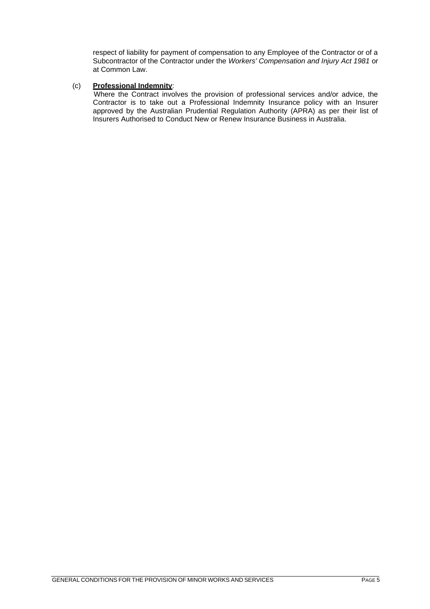respect of liability for payment of compensation to any Employee of the Contractor or of a Subcontractor of the Contractor under the *Workers' Compensation and Injury Act 1981* or at Common Law.

#### (c) **Professional Indemnity**:

Where the Contract involves the provision of professional services and/or advice, the Contractor is to take out a Professional Indemnity Insurance policy with an Insurer approved by the Australian Prudential Regulation Authority (APRA) as per their list of Insurers Authorised to Conduct New or Renew Insurance Business in Australia.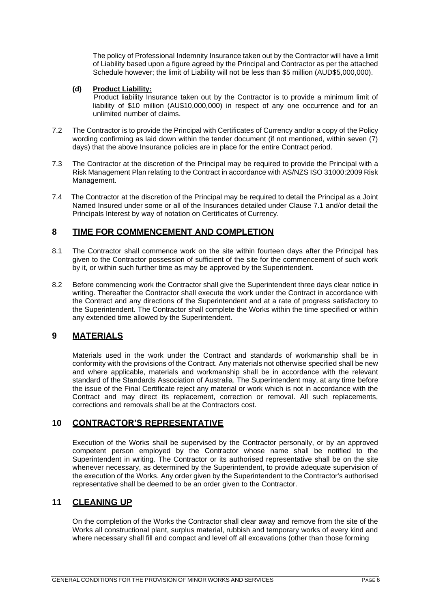The policy of Professional Indemnity Insurance taken out by the Contractor will have a limit of Liability based upon a figure agreed by the Principal and Contractor as per the attached Schedule however; the limit of Liability will not be less than \$5 million (AUD\$5,000,000).

#### **(d) Product Liability:**

Product liability Insurance taken out by the Contractor is to provide a minimum limit of liability of \$10 million (AU\$10,000,000) in respect of any one occurrence and for an unlimited number of claims.

- 7.2 The Contractor is to provide the Principal with Certificates of Currency and/or a copy of the Policy wording confirming as laid down within the tender document (if not mentioned, within seven (7) days) that the above Insurance policies are in place for the entire Contract period.
- 7.3 The Contractor at the discretion of the Principal may be required to provide the Principal with a Risk Management Plan relating to the Contract in accordance with AS/NZS ISO 31000:2009 Risk Management.
- 7.4 The Contractor at the discretion of the Principal may be required to detail the Principal as a Joint Named Insured under some or all of the Insurances detailed under Clause 7.1 and/or detail the Principals Interest by way of notation on Certificates of Currency.

#### **8 TIME FOR COMMENCEMENT AND COMPLETION**

- 8.1 The Contractor shall commence work on the site within fourteen days after the Principal has given to the Contractor possession of sufficient of the site for the commencement of such work by it, or within such further time as may be approved by the Superintendent.
- 8.2 Before commencing work the Contractor shall give the Superintendent three days clear notice in writing. Thereafter the Contractor shall execute the work under the Contract in accordance with the Contract and any directions of the Superintendent and at a rate of progress satisfactory to the Superintendent. The Contractor shall complete the Works within the time specified or within any extended time allowed by the Superintendent.

#### **9 MATERIALS**

Materials used in the work under the Contract and standards of workmanship shall be in conformity with the provisions of the Contract. Any materials not otherwise specified shall be new and where applicable, materials and workmanship shall be in accordance with the relevant standard of the Standards Association of Australia. The Superintendent may, at any time before the issue of the Final Certificate reject any material or work which is not in accordance with the Contract and may direct its replacement, correction or removal. All such replacements, corrections and removals shall be at the Contractors cost.

#### **10 CONTRACTOR'S REPRESENTATIVE**

Execution of the Works shall be supervised by the Contractor personally, or by an approved competent person employed by the Contractor whose name shall be notified to the Superintendent in writing. The Contractor or its authorised representative shall be on the site whenever necessary, as determined by the Superintendent, to provide adequate supervision of the execution of the Works. Any order given by the Superintendent to the Contractor's authorised representative shall be deemed to be an order given to the Contractor.

#### **11 CLEANING UP**

On the completion of the Works the Contractor shall clear away and remove from the site of the Works all constructional plant, surplus material, rubbish and temporary works of every kind and where necessary shall fill and compact and level off all excavations (other than those forming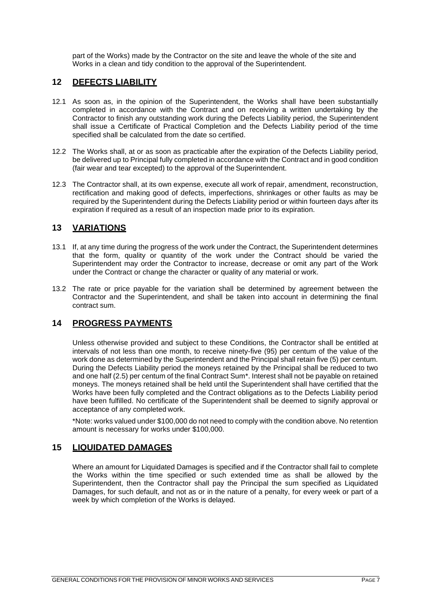part of the Works) made by the Contractor on the site and leave the whole of the site and Works in a clean and tidy condition to the approval of the Superintendent.

#### **12 DEFECTS LIABILITY**

- 12.1 As soon as, in the opinion of the Superintendent, the Works shall have been substantially completed in accordance with the Contract and on receiving a written undertaking by the Contractor to finish any outstanding work during the Defects Liability period, the Superintendent shall issue a Certificate of Practical Completion and the Defects Liability period of the time specified shall be calculated from the date so certified.
- 12.2 The Works shall, at or as soon as practicable after the expiration of the Defects Liability period, be delivered up to Principal fully completed in accordance with the Contract and in good condition (fair wear and tear excepted) to the approval of the Superintendent.
- 12.3 The Contractor shall, at its own expense, execute all work of repair, amendment, reconstruction, rectification and making good of defects, imperfections, shrinkages or other faults as may be required by the Superintendent during the Defects Liability period or within fourteen days after its expiration if required as a result of an inspection made prior to its expiration.

#### **13 VARIATIONS**

- 13.1 If, at any time during the progress of the work under the Contract, the Superintendent determines that the form, quality or quantity of the work under the Contract should be varied the Superintendent may order the Contractor to increase, decrease or omit any part of the Work under the Contract or change the character or quality of any material or work.
- 13.2 The rate or price payable for the variation shall be determined by agreement between the Contractor and the Superintendent, and shall be taken into account in determining the final contract sum.

## **14 PROGRESS PAYMENTS**

Unless otherwise provided and subject to these Conditions, the Contractor shall be entitled at intervals of not less than one month, to receive ninety-five (95) per centum of the value of the work done as determined by the Superintendent and the Principal shall retain five (5) per centum. During the Defects Liability period the moneys retained by the Principal shall be reduced to two and one half (2.5) per centum of the final Contract Sum\*. Interest shall not be payable on retained moneys. The moneys retained shall be held until the Superintendent shall have certified that the Works have been fully completed and the Contract obligations as to the Defects Liability period have been fulfilled. No certificate of the Superintendent shall be deemed to signify approval or acceptance of any completed work.

\*Note: works valued under \$100,000 do not need to comply with the condition above. No retention amount is necessary for works under \$100,000.

#### **15 LIQUIDATED DAMAGES**

Where an amount for Liquidated Damages is specified and if the Contractor shall fail to complete the Works within the time specified or such extended time as shall be allowed by the Superintendent, then the Contractor shall pay the Principal the sum specified as Liquidated Damages, for such default, and not as or in the nature of a penalty, for every week or part of a week by which completion of the Works is delayed.